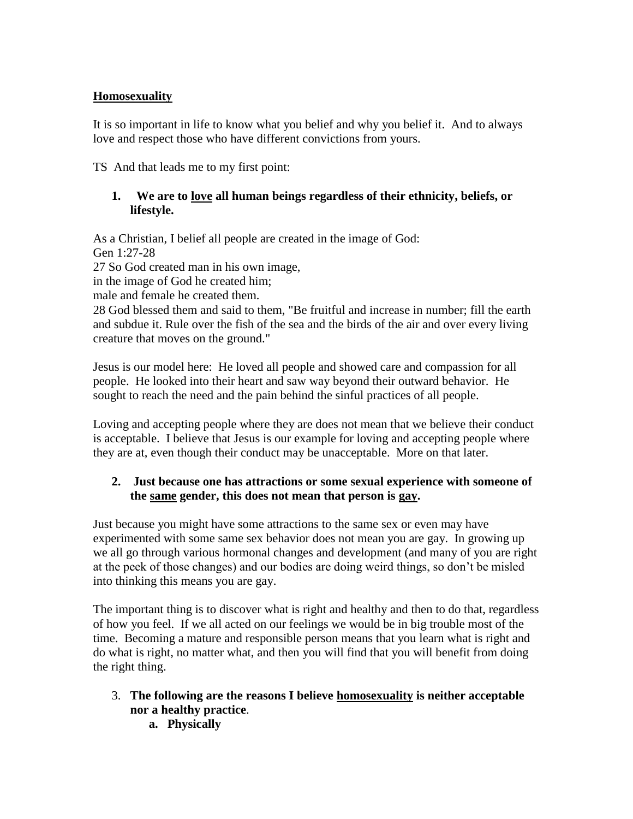## **Homosexuality**

It is so important in life to know what you belief and why you belief it. And to always love and respect those who have different convictions from yours.

TS And that leads me to my first point:

## **1. We are to love all human beings regardless of their ethnicity, beliefs, or lifestyle.**

As a Christian, I belief all people are created in the image of God: Gen 1:27-28

27 So God created man in his own image,

in the image of God he created him;

male and female he created them.

28 God blessed them and said to them, "Be fruitful and increase in number; fill the earth and subdue it. Rule over the fish of the sea and the birds of the air and over every living creature that moves on the ground."

Jesus is our model here: He loved all people and showed care and compassion for all people. He looked into their heart and saw way beyond their outward behavior. He sought to reach the need and the pain behind the sinful practices of all people.

Loving and accepting people where they are does not mean that we believe their conduct is acceptable. I believe that Jesus is our example for loving and accepting people where they are at, even though their conduct may be unacceptable. More on that later.

## **2. Just because one has attractions or some sexual experience with someone of the same gender, this does not mean that person is gay.**

Just because you might have some attractions to the same sex or even may have experimented with some same sex behavior does not mean you are gay. In growing up we all go through various hormonal changes and development (and many of you are right at the peek of those changes) and our bodies are doing weird things, so don't be misled into thinking this means you are gay.

The important thing is to discover what is right and healthy and then to do that, regardless of how you feel. If we all acted on our feelings we would be in big trouble most of the time. Becoming a mature and responsible person means that you learn what is right and do what is right, no matter what, and then you will find that you will benefit from doing the right thing.

- 3. **The following are the reasons I believe homosexuality is neither acceptable nor a healthy practice**.
	- **a. Physically**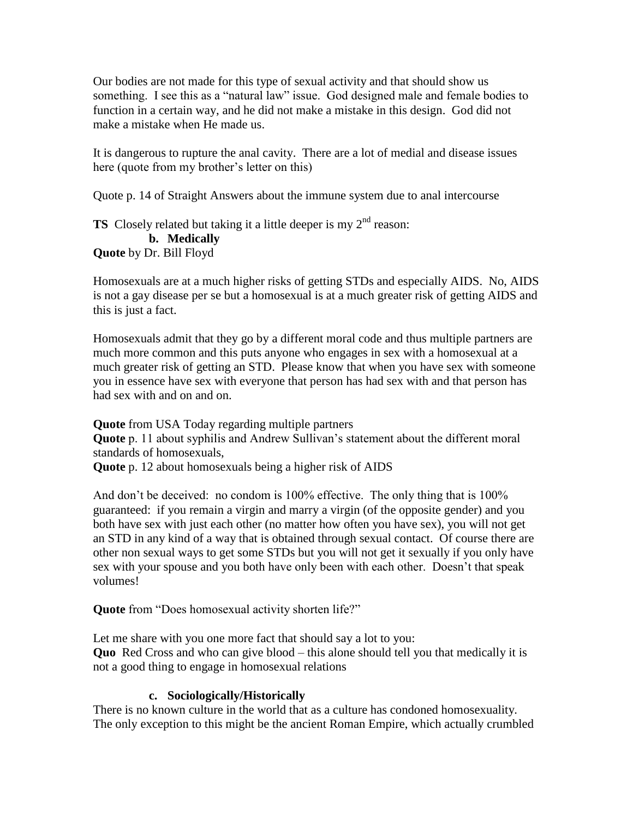Our bodies are not made for this type of sexual activity and that should show us something. I see this as a "natural law" issue. God designed male and female bodies to function in a certain way, and he did not make a mistake in this design. God did not make a mistake when He made us.

It is dangerous to rupture the anal cavity. There are a lot of medial and disease issues here (quote from my brother's letter on this)

Quote p. 14 of Straight Answers about the immune system due to anal intercourse

**TS** Closely related but taking it a little deeper is my  $2<sup>nd</sup>$  reason: **b. Medically Quote** by Dr. Bill Floyd

Homosexuals are at a much higher risks of getting STDs and especially AIDS. No, AIDS is not a gay disease per se but a homosexual is at a much greater risk of getting AIDS and this is just a fact.

Homosexuals admit that they go by a different moral code and thus multiple partners are much more common and this puts anyone who engages in sex with a homosexual at a much greater risk of getting an STD. Please know that when you have sex with someone you in essence have sex with everyone that person has had sex with and that person has had sex with and on and on.

**Quote** from USA Today regarding multiple partners **Quote** p. 11 about syphilis and Andrew Sullivan's statement about the different moral standards of homosexuals,

**Quote** p. 12 about homosexuals being a higher risk of AIDS

And don't be deceived: no condom is 100% effective. The only thing that is 100% guaranteed: if you remain a virgin and marry a virgin (of the opposite gender) and you both have sex with just each other (no matter how often you have sex), you will not get an STD in any kind of a way that is obtained through sexual contact. Of course there are other non sexual ways to get some STDs but you will not get it sexually if you only have sex with your spouse and you both have only been with each other. Doesn't that speak volumes!

**Quote** from "Does homosexual activity shorten life?"

Let me share with you one more fact that should say a lot to you: **Quo** Red Cross and who can give blood – this alone should tell you that medically it is not a good thing to engage in homosexual relations

# **c. Sociologically/Historically**

There is no known culture in the world that as a culture has condoned homosexuality. The only exception to this might be the ancient Roman Empire, which actually crumbled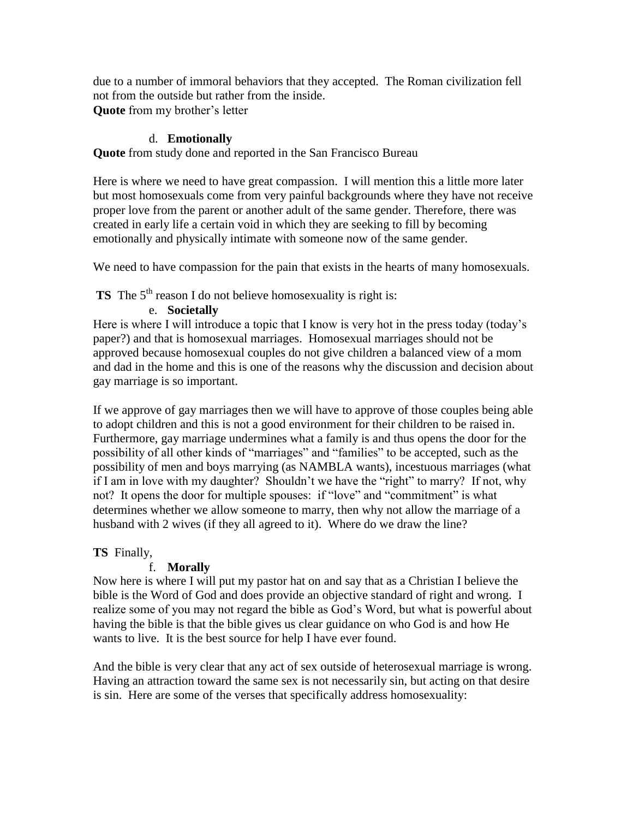due to a number of immoral behaviors that they accepted. The Roman civilization fell not from the outside but rather from the inside. **Quote** from my brother's letter

#### d. **Emotionally**

**Quote** from study done and reported in the San Francisco Bureau

Here is where we need to have great compassion. I will mention this a little more later but most homosexuals come from very painful backgrounds where they have not receive proper love from the parent or another adult of the same gender. Therefore, there was created in early life a certain void in which they are seeking to fill by becoming emotionally and physically intimate with someone now of the same gender.

We need to have compassion for the pain that exists in the hearts of many homosexuals.

**TS** The 5<sup>th</sup> reason I do not believe homosexuality is right is:

#### e. **Societally**

Here is where I will introduce a topic that I know is very hot in the press today (today's paper?) and that is homosexual marriages. Homosexual marriages should not be approved because homosexual couples do not give children a balanced view of a mom and dad in the home and this is one of the reasons why the discussion and decision about gay marriage is so important.

If we approve of gay marriages then we will have to approve of those couples being able to adopt children and this is not a good environment for their children to be raised in. Furthermore, gay marriage undermines what a family is and thus opens the door for the possibility of all other kinds of "marriages" and "families" to be accepted, such as the possibility of men and boys marrying (as NAMBLA wants), incestuous marriages (what if I am in love with my daughter? Shouldn't we have the "right" to marry? If not, why not? It opens the door for multiple spouses: if "love" and "commitment" is what determines whether we allow someone to marry, then why not allow the marriage of a husband with 2 wives (if they all agreed to it). Where do we draw the line?

#### **TS** Finally,

#### f. **Morally**

Now here is where I will put my pastor hat on and say that as a Christian I believe the bible is the Word of God and does provide an objective standard of right and wrong. I realize some of you may not regard the bible as God's Word, but what is powerful about having the bible is that the bible gives us clear guidance on who God is and how He wants to live. It is the best source for help I have ever found.

And the bible is very clear that any act of sex outside of heterosexual marriage is wrong. Having an attraction toward the same sex is not necessarily sin, but acting on that desire is sin. Here are some of the verses that specifically address homosexuality: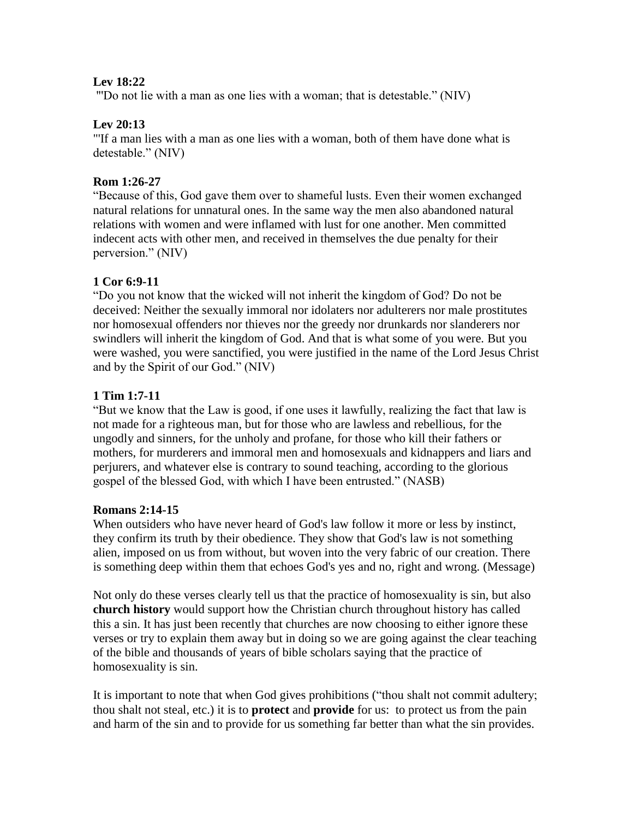#### **Lev 18:22**

"'Do not lie with a man as one lies with a woman; that is detestable." (NIV)

#### **Lev 20:13**

"'If a man lies with a man as one lies with a woman, both of them have done what is detestable." (NIV)

#### **Rom 1:26-27**

"Because of this, God gave them over to shameful lusts. Even their women exchanged natural relations for unnatural ones. In the same way the men also abandoned natural relations with women and were inflamed with lust for one another. Men committed indecent acts with other men, and received in themselves the due penalty for their perversion." (NIV)

## **1 Cor 6:9-11**

"Do you not know that the wicked will not inherit the kingdom of God? Do not be deceived: Neither the sexually immoral nor idolaters nor adulterers nor male prostitutes nor homosexual offenders nor thieves nor the greedy nor drunkards nor slanderers nor swindlers will inherit the kingdom of God. And that is what some of you were. But you were washed, you were sanctified, you were justified in the name of the Lord Jesus Christ and by the Spirit of our God." (NIV)

#### **1 Tim 1:7-11**

"But we know that the Law is good, if one uses it lawfully, realizing the fact that law is not made for a righteous man, but for those who are lawless and rebellious, for the ungodly and sinners, for the unholy and profane, for those who kill their fathers or mothers, for murderers and immoral men and homosexuals and kidnappers and liars and perjurers, and whatever else is contrary to sound teaching, according to the glorious gospel of the blessed God, with which I have been entrusted." (NASB)

#### **Romans 2:14-15**

When outsiders who have never heard of God's law follow it more or less by instinct, they confirm its truth by their obedience. They show that God's law is not something alien, imposed on us from without, but woven into the very fabric of our creation. There is something deep within them that echoes God's yes and no, right and wrong. (Message)

Not only do these verses clearly tell us that the practice of homosexuality is sin, but also **church history** would support how the Christian church throughout history has called this a sin. It has just been recently that churches are now choosing to either ignore these verses or try to explain them away but in doing so we are going against the clear teaching of the bible and thousands of years of bible scholars saying that the practice of homosexuality is sin.

It is important to note that when God gives prohibitions ("thou shalt not commit adultery; thou shalt not steal, etc.) it is to **protect** and **provide** for us: to protect us from the pain and harm of the sin and to provide for us something far better than what the sin provides.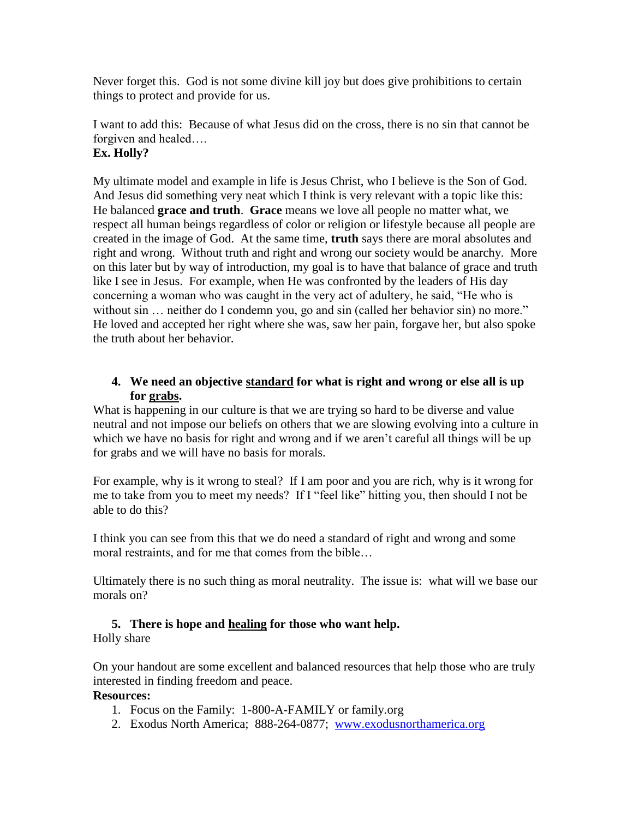Never forget this. God is not some divine kill joy but does give prohibitions to certain things to protect and provide for us.

# I want to add this: Because of what Jesus did on the cross, there is no sin that cannot be forgiven and healed….

## **Ex. Holly?**

My ultimate model and example in life is Jesus Christ, who I believe is the Son of God. And Jesus did something very neat which I think is very relevant with a topic like this: He balanced **grace and truth**. **Grace** means we love all people no matter what, we respect all human beings regardless of color or religion or lifestyle because all people are created in the image of God. At the same time, **truth** says there are moral absolutes and right and wrong. Without truth and right and wrong our society would be anarchy. More on this later but by way of introduction, my goal is to have that balance of grace and truth like I see in Jesus. For example, when He was confronted by the leaders of His day concerning a woman who was caught in the very act of adultery, he said, "He who is without sin ... neither do I condemn you, go and sin (called her behavior sin) no more." He loved and accepted her right where she was, saw her pain, forgave her, but also spoke the truth about her behavior.

## **4. We need an objective standard for what is right and wrong or else all is up for grabs.**

What is happening in our culture is that we are trying so hard to be diverse and value neutral and not impose our beliefs on others that we are slowing evolving into a culture in which we have no basis for right and wrong and if we aren't careful all things will be up for grabs and we will have no basis for morals.

For example, why is it wrong to steal? If I am poor and you are rich, why is it wrong for me to take from you to meet my needs? If I "feel like" hitting you, then should I not be able to do this?

I think you can see from this that we do need a standard of right and wrong and some moral restraints, and for me that comes from the bible…

Ultimately there is no such thing as moral neutrality. The issue is: what will we base our morals on?

# **5. There is hope and healing for those who want help.**

Holly share

On your handout are some excellent and balanced resources that help those who are truly interested in finding freedom and peace.

## **Resources:**

- 1. Focus on the Family: 1-800-A-FAMILY or family.org
- 2. Exodus North America; 888-264-0877; [www.exodusnorthamerica.org](http://www.exodusnorthamerica.org/)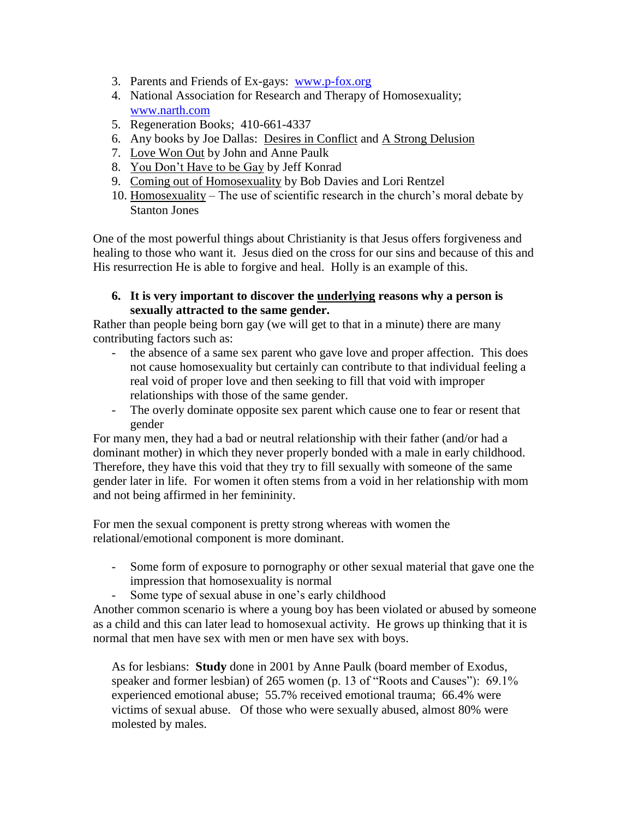- 3. Parents and Friends of Ex-gays: [www.p-fox.org](http://www.p-fox.org/)
- 4. National Association for Research and Therapy of Homosexuality; [www.narth.com](http://www.narth.com/)
- 5. Regeneration Books; 410-661-4337
- 6. Any books by Joe Dallas: Desires in Conflict and A Strong Delusion
- 7. Love Won Out by John and Anne Paulk
- 8. You Don't Have to be Gay by Jeff Konrad
- 9. Coming out of Homosexuality by Bob Davies and Lori Rentzel
- 10. Homosexuality The use of scientific research in the church's moral debate by Stanton Jones

One of the most powerful things about Christianity is that Jesus offers forgiveness and healing to those who want it. Jesus died on the cross for our sins and because of this and His resurrection He is able to forgive and heal. Holly is an example of this.

**6. It is very important to discover the underlying reasons why a person is sexually attracted to the same gender.**

Rather than people being born gay (we will get to that in a minute) there are many contributing factors such as:

- the absence of a same sex parent who gave love and proper affection. This does not cause homosexuality but certainly can contribute to that individual feeling a real void of proper love and then seeking to fill that void with improper relationships with those of the same gender.
- The overly dominate opposite sex parent which cause one to fear or resent that gender

For many men, they had a bad or neutral relationship with their father (and/or had a dominant mother) in which they never properly bonded with a male in early childhood. Therefore, they have this void that they try to fill sexually with someone of the same gender later in life. For women it often stems from a void in her relationship with mom and not being affirmed in her femininity.

For men the sexual component is pretty strong whereas with women the relational/emotional component is more dominant.

- Some form of exposure to pornography or other sexual material that gave one the impression that homosexuality is normal
- Some type of sexual abuse in one's early childhood

Another common scenario is where a young boy has been violated or abused by someone as a child and this can later lead to homosexual activity. He grows up thinking that it is normal that men have sex with men or men have sex with boys.

As for lesbians: **Study** done in 2001 by Anne Paulk (board member of Exodus, speaker and former lesbian) of 265 women (p. 13 of "Roots and Causes"): 69.1% experienced emotional abuse; 55.7% received emotional trauma; 66.4% were victims of sexual abuse. Of those who were sexually abused, almost 80% were molested by males.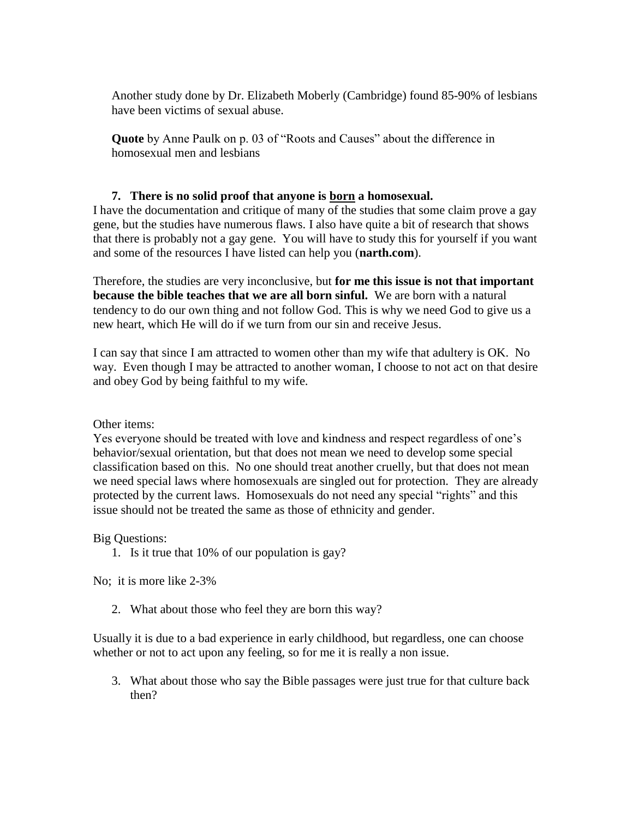Another study done by Dr. Elizabeth Moberly (Cambridge) found 85-90% of lesbians have been victims of sexual abuse.

**Quote** by Anne Paulk on p. 03 of "Roots and Causes" about the difference in homosexual men and lesbians

#### **7. There is no solid proof that anyone is born a homosexual.**

I have the documentation and critique of many of the studies that some claim prove a gay gene, but the studies have numerous flaws. I also have quite a bit of research that shows that there is probably not a gay gene. You will have to study this for yourself if you want and some of the resources I have listed can help you (**narth.com**).

Therefore, the studies are very inconclusive, but **for me this issue is not that important because the bible teaches that we are all born sinful.** We are born with a natural tendency to do our own thing and not follow God. This is why we need God to give us a new heart, which He will do if we turn from our sin and receive Jesus.

I can say that since I am attracted to women other than my wife that adultery is OK. No way. Even though I may be attracted to another woman, I choose to not act on that desire and obey God by being faithful to my wife.

Other items:

Yes everyone should be treated with love and kindness and respect regardless of one's behavior/sexual orientation, but that does not mean we need to develop some special classification based on this. No one should treat another cruelly, but that does not mean we need special laws where homosexuals are singled out for protection. They are already protected by the current laws. Homosexuals do not need any special "rights" and this issue should not be treated the same as those of ethnicity and gender.

Big Questions:

1. Is it true that 10% of our population is gay?

No; it is more like 2-3%

2. What about those who feel they are born this way?

Usually it is due to a bad experience in early childhood, but regardless, one can choose whether or not to act upon any feeling, so for me it is really a non issue.

3. What about those who say the Bible passages were just true for that culture back then?